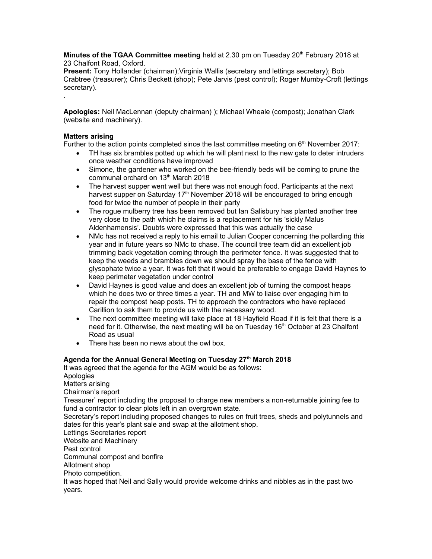**Minutes of the TGAA Committee meeting** held at 2.30 pm on Tuesday 20<sup>th</sup> February 2018 at 23 Chalfont Road, Oxford.

**Present:** Tony Hollander (chairman); Virginia Wallis (secretary and lettings secretary); Bob Crabtree (treasurer); Chris Beckett (shop); Pete Jarvis (pest control); Roger Mumby-Croft (lettings secretary). .

**Apologies:** Neil MacLennan (deputy chairman) ); Michael Wheale (compost); Jonathan Clark (website and machinery).

## **Matters arising**

Further to the action points completed since the last committee meeting on  $6<sup>th</sup>$  November 2017:

- TH has six brambles potted up which he will plant next to the new gate to deter intruders once weather conditions have improved
- Simone, the gardener who worked on the bee-friendly beds will be coming to prune the communal orchard on 13<sup>th</sup> March 2018
- The harvest supper went well but there was not enough food. Participants at the next harvest supper on Saturday 17<sup>th</sup> November 2018 will be encouraged to bring enough food for twice the number of people in their party
- The rogue mulberry tree has been removed but Ian Salisbury has planted another tree very close to the path which he claims is a replacement for his 'sickly Malus Aldenhamensis'. Doubts were expressed that this was actually the case
- NMc has not received a reply to his email to Julian Cooper concerning the pollarding this year and in future years so NMc to chase. The council tree team did an excellent job trimming back vegetation coming through the perimeter fence. It was suggested that to keep the weeds and brambles down we should spray the base of the fence with glysophate twice a year. It was felt that it would be preferable to engage David Haynes to keep perimeter vegetation under control
- David Haynes is good value and does an excellent job of turning the compost heaps which he does two or three times a year. TH and MW to liaise over engaging him to repair the compost heap posts. TH to approach the contractors who have replaced Carillion to ask them to provide us with the necessary wood.
- The next committee meeting will take place at 18 Hayfield Road if it is felt that there is a need for it. Otherwise, the next meeting will be on Tuesday 16<sup>th</sup> October at 23 Chalfont Road as usual
- There has been no news about the owl box.

# **Agenda for the Annual General Meeting on Tuesday 27th March 2018**

It was agreed that the agenda for the AGM would be as follows:

Apologies Matters arising Chairman's report Treasurer' report including the proposal to charge new members a non-returnable joining fee to fund a contractor to clear plots left in an overgrown state. Secretary's report including proposed changes to rules on fruit trees, sheds and polytunnels and dates for this year's plant sale and swap at the allotment shop. Lettings Secretaries report Website and Machinery Pest control Communal compost and bonfire Allotment shop Photo competition. It was hoped that Neil and Sally would provide welcome drinks and nibbles as in the past two

years.